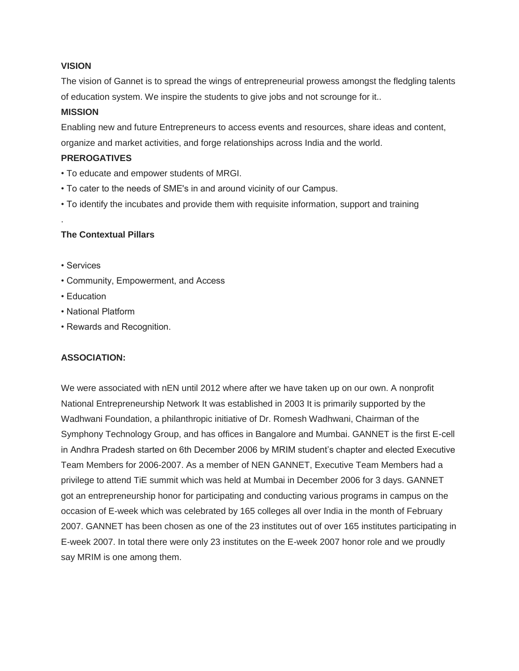#### **VISION**

The vision of Gannet is to spread the wings of entrepreneurial prowess amongst the fledgling talents of education system. We inspire the students to give jobs and not scrounge for it..

### **MISSION**

Enabling new and future Entrepreneurs to access events and resources, share ideas and content, organize and market activities, and forge relationships across India and the world.

### **PREROGATIVES**

- To educate and empower students of MRGI.
- To cater to the needs of SME's in and around vicinity of our Campus.
- To identify the incubates and provide them with requisite information, support and training

## **The Contextual Pillars**

• Services

.

- Community, Empowerment, and Access
- Education
- National Platform
- Rewards and Recognition.

## **ASSOCIATION:**

We were associated with nEN until 2012 where after we have taken up on our own. A nonprofit National Entrepreneurship Network It was established in 2003 It is primarily supported by the Wadhwani Foundation, a philanthropic initiative of Dr. Romesh Wadhwani, Chairman of the Symphony Technology Group, and has offices in Bangalore and Mumbai. GANNET is the first E-cell in Andhra Pradesh started on 6th December 2006 by MRIM student's chapter and elected Executive Team Members for 2006-2007. As a member of NEN GANNET, Executive Team Members had a privilege to attend TiE summit which was held at Mumbai in December 2006 for 3 days. GANNET got an entrepreneurship honor for participating and conducting various programs in campus on the occasion of E-week which was celebrated by 165 colleges all over India in the month of February 2007. GANNET has been chosen as one of the 23 institutes out of over 165 institutes participating in E-week 2007. In total there were only 23 institutes on the E-week 2007 honor role and we proudly say MRIM is one among them.